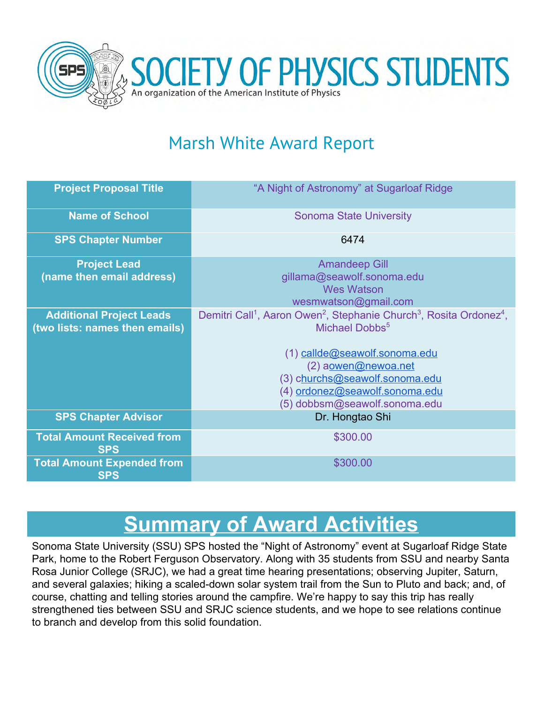

## Marsh White Award Report

| <b>Project Proposal Title</b>                                     | "A Night of Astronomy" at Sugarloaf Ridge                                                                                                                                                                                                                                                                      |
|-------------------------------------------------------------------|----------------------------------------------------------------------------------------------------------------------------------------------------------------------------------------------------------------------------------------------------------------------------------------------------------------|
| <b>Name of School</b>                                             | <b>Sonoma State University</b>                                                                                                                                                                                                                                                                                 |
| <b>SPS Chapter Number</b>                                         | 6474                                                                                                                                                                                                                                                                                                           |
| <b>Project Lead</b><br>(name then email address)                  | <b>Amandeep Gill</b><br>gillama@seawolf.sonoma.edu<br><b>Wes Watson</b><br>wesmwatson@gmail.com                                                                                                                                                                                                                |
| <b>Additional Project Leads</b><br>(two lists: names then emails) | Demitri Call <sup>1</sup> , Aaron Owen <sup>2</sup> , Stephanie Church <sup>3</sup> , Rosita Ordonez <sup>4</sup> ,<br>Michael Dobbs <sup>5</sup><br>(1) callde@seawolf.sonoma.edu<br>(2) aowen@newoa.net<br>(3) churchs@seawolf.sonoma.edu<br>(4) ordonez@seawolf.sonoma.edu<br>(5) dobbsm@seawolf.sonoma.edu |
| <b>SPS Chapter Advisor</b>                                        | Dr. Hongtao Shi                                                                                                                                                                                                                                                                                                |
| <b>Total Amount Received from</b><br><b>SPS</b>                   | \$300.00                                                                                                                                                                                                                                                                                                       |
| <b>Total Amount Expended from</b><br><b>SPS</b>                   | \$300.00                                                                                                                                                                                                                                                                                                       |

# **Summary of Award Activities**

Sonoma State University (SSU) SPS hosted the "Night of Astronomy" event at Sugarloaf Ridge State Park, home to the Robert Ferguson Observatory. Along with 35 students from SSU and nearby Santa Rosa Junior College (SRJC), we had a great time hearing presentations; observing Jupiter, Saturn, and several galaxies; hiking a scaled-down solar system trail from the Sun to Pluto and back; and, of course, chatting and telling stories around the campfire. We're happy to say this trip has really strengthened ties between SSU and SRJC science students, and we hope to see relations continue to branch and develop from this solid foundation.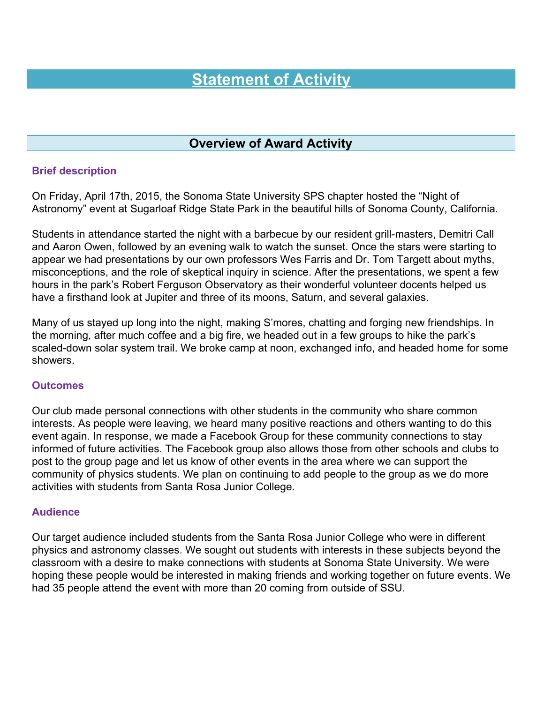### **Statement of Activity**

#### **Overview of Award Activity**

#### **Brief description**

On Friday, April 17th, 2015, the Sonoma State University SPS chapter hosted the "Night of Astronomy" event at Sugarloaf Ridge State Park in the beautiful hills of Sonoma County, California.

Students in attendance started the night with a barbecue by our resident grill-masters, Demitri Call and Aaron Owen, followed by an evening walk to watch the sunset. Once the stars were starting to appear we had presentations by our own professors Wes Farris and Dr. Tom Targett about myths, misconceptions, and the role of skeptical inquiry in science. After the presentations, we spent a few hours in the park's Robert Ferguson Observatory as their wonderful volunteer docents helped us have a firsthand look at Jupiter and three of its moons, Saturn, and several galaxies.

Many of us stayed up long into the night, making S'mores, chatting and forging new friendships. In the morning, after much coffee and a big fire, we headed out in a few groups to hike the park's scaled-down solar system trail. We broke camp at noon, exchanged info, and headed home for some showers.

#### **Outcomes**

Our club made personal connections with other students in the community who share common interests. As people were leaving, we heard many positive reactions and others wanting to do this event again. In response, we made a Facebook Group for these community connections to stay informed of future activities. The Facebook group also allows those from other schools and clubs to post to the group page and let us know of other events in the area where we can support the community of physics students. We plan on continuing to add people to the group as we do more activities with students from Santa Rosa Junior College.

#### **Audience**

Our target audience included students from the Santa Rosa Junior College who were in different physics and astronomy classes. We sought out students with interests in these subjects beyond the classroom with a desire to make connections with students at Sonoma State University. We were hoping these people would be interested in making friends and working together on future events. We had 35 people attend the event with more than 20 coming from outside of SSU.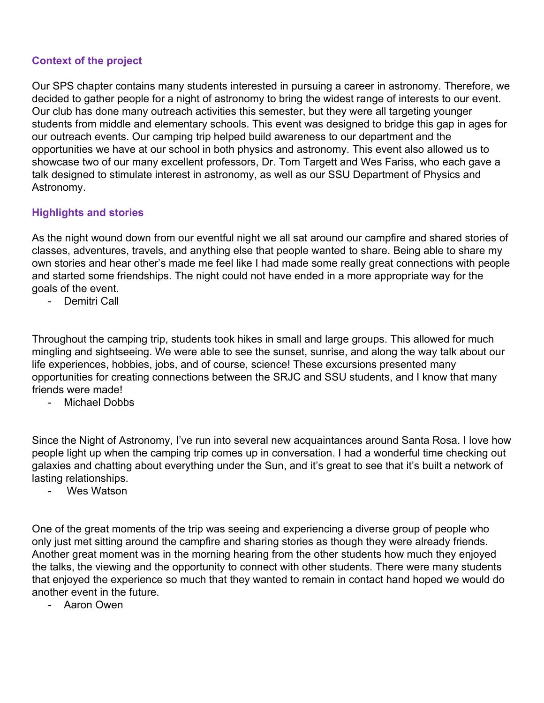#### **Context of the project**

Our SPS chapter contains many students interested in pursuing a career in astronomy. Therefore, we decided to gather people for a night of astronomy to bring the widest range of interests to our event. Our club has done many outreach activities this semester, but they were all targeting younger students from middle and elementary schools. This event was designed to bridge this gap in ages for our outreach events. Our camping trip helped build awareness to our department and the opportunities we have at our school in both physics and astronomy. This event also allowed us to showcase two of our many excellent professors, Dr. Tom Targett and Wes Fariss, who each gave a talk designed to stimulate interest in astronomy, as well as our SSU Department of Physics and Astronomy.

#### **Highlights and stories**

As the night wound down from our eventful night we all sat around our campfire and shared stories of classes, adventures, travels, and anything else that people wanted to share. Being able to share my own stories and hear other's made me feel like I had made some really great connections with people and started some friendships. The night could not have ended in a more appropriate way for the goals of the event.

- Demitri Call

Throughout the camping trip, students took hikes in small and large groups. This allowed for much mingling and sightseeing. We were able to see the sunset, sunrise, and along the way talk about our life experiences, hobbies, jobs, and of course, science! These excursions presented many opportunities for creating connections between the SRJC and SSU students, and I know that many friends were made!

- Michael Dobbs

Since the Night of Astronomy, I've run into several new acquaintances around Santa Rosa. I love how people light up when the camping trip comes up in conversation. I had a wonderful time checking out galaxies and chatting about everything under the Sun, and it's great to see that it's built a network of lasting relationships.

Wes Watson

One of the great moments of the trip was seeing and experiencing a diverse group of people who only just met sitting around the campfire and sharing stories as though they were already friends. Another great moment was in the morning hearing from the other students how much they enjoyed the talks, the viewing and the opportunity to connect with other students. There were many students that enjoyed the experience so much that they wanted to remain in contact hand hoped we would do another event in the future.

- Aaron Owen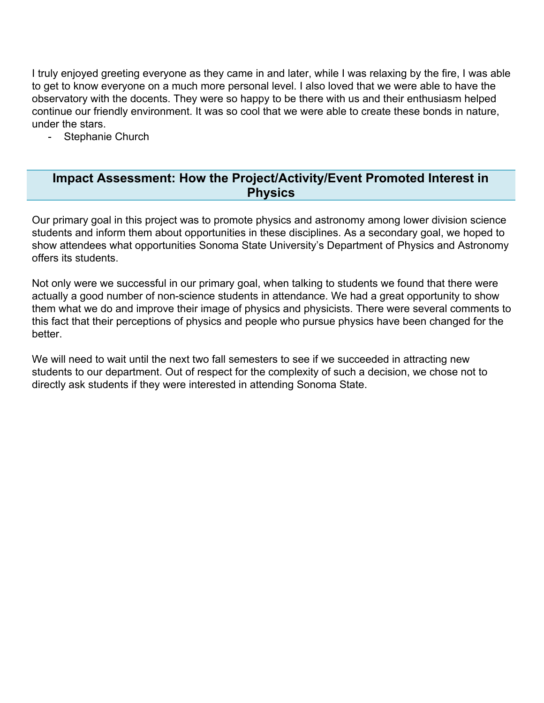I truly enjoyed greeting everyone as they came in and later, while I was relaxing by the fire, I was able to get to know everyone on a much more personal level. I also loved that we were able to have the observatory with the docents. They were so happy to be there with us and their enthusiasm helped continue our friendly environment. It was so cool that we were able to create these bonds in nature, under the stars.

- Stephanie Church

#### **Impact Assessment: How the Project/Activity/Event Promoted Interest in Physics**

Our primary goal in this project was to promote physics and astronomy among lower division science students and inform them about opportunities in these disciplines. As a secondary goal, we hoped to show attendees what opportunities Sonoma State University's Department of Physics and Astronomy offers its students.

Not only were we successful in our primary goal, when talking to students we found that there were actually a good number of non-science students in attendance. We had a great opportunity to show them what we do and improve their image of physics and physicists. There were several comments to this fact that their perceptions of physics and people who pursue physics have been changed for the better.

We will need to wait until the next two fall semesters to see if we succeeded in attracting new students to our department. Out of respect for the complexity of such a decision, we chose not to directly ask students if they were interested in attending Sonoma State.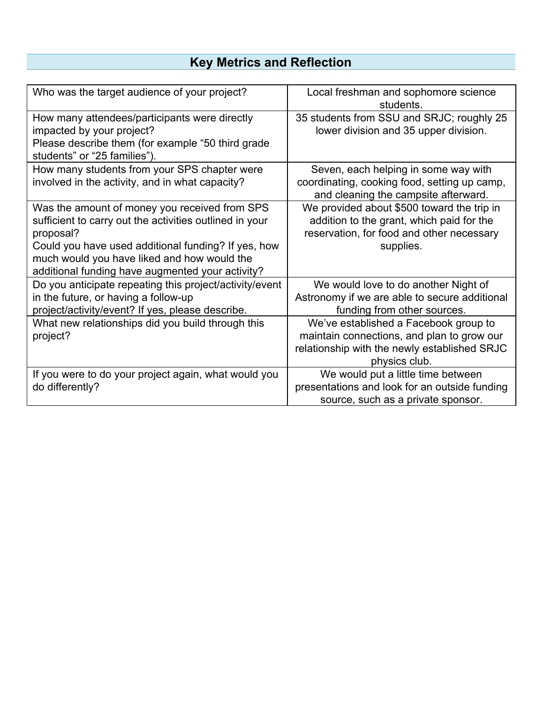### **Key Metrics and Reflection**

| Who was the target audience of your project?                                                                                                                                                                                                                                    | Local freshman and sophomore science<br>students.                                                                                                    |  |
|---------------------------------------------------------------------------------------------------------------------------------------------------------------------------------------------------------------------------------------------------------------------------------|------------------------------------------------------------------------------------------------------------------------------------------------------|--|
| How many attendees/participants were directly<br>impacted by your project?<br>Please describe them (for example "50 third grade<br>students" or "25 families").                                                                                                                 | 35 students from SSU and SRJC; roughly 25<br>lower division and 35 upper division.                                                                   |  |
| How many students from your SPS chapter were<br>involved in the activity, and in what capacity?                                                                                                                                                                                 | Seven, each helping in some way with<br>coordinating, cooking food, setting up camp,<br>and cleaning the campsite afterward.                         |  |
| Was the amount of money you received from SPS<br>sufficient to carry out the activities outlined in your<br>proposal?<br>Could you have used additional funding? If yes, how<br>much would you have liked and how would the<br>additional funding have augmented your activity? | We provided about \$500 toward the trip in<br>addition to the grant, which paid for the<br>reservation, for food and other necessary<br>supplies.    |  |
| Do you anticipate repeating this project/activity/event<br>in the future, or having a follow-up<br>project/activity/event? If yes, please describe.                                                                                                                             | We would love to do another Night of<br>Astronomy if we are able to secure additional<br>funding from other sources.                                 |  |
| What new relationships did you build through this<br>project?                                                                                                                                                                                                                   | We've established a Facebook group to<br>maintain connections, and plan to grow our<br>relationship with the newly established SRJC<br>physics club. |  |
| If you were to do your project again, what would you<br>do differently?                                                                                                                                                                                                         | We would put a little time between<br>presentations and look for an outside funding<br>source, such as a private sponsor.                            |  |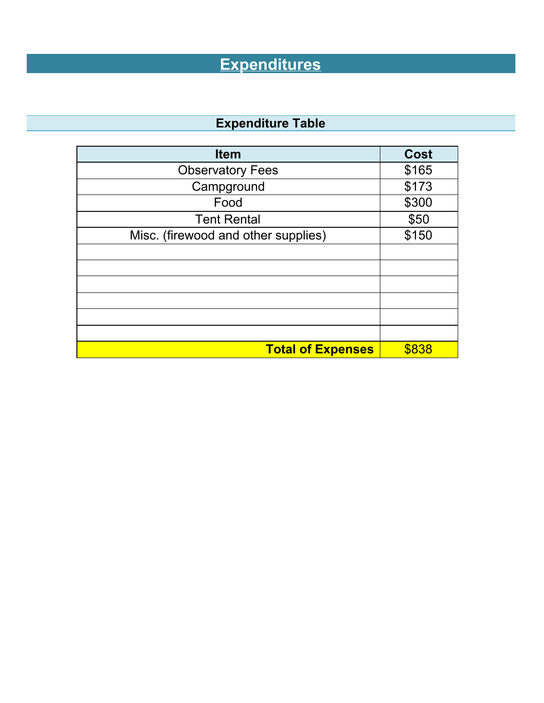# **Expenditures**

## **Expenditure Table**

| <b>Item</b>                         | <b>Cost</b> |
|-------------------------------------|-------------|
| <b>Observatory Fees</b>             | \$165       |
| Campground                          | \$173       |
| Food                                | \$300       |
| <b>Tent Rental</b>                  | \$50        |
| Misc. (firewood and other supplies) | \$150       |
|                                     |             |
|                                     |             |
|                                     |             |
|                                     |             |
|                                     |             |
|                                     |             |
| <b>Total of Expenses</b>            | \$838       |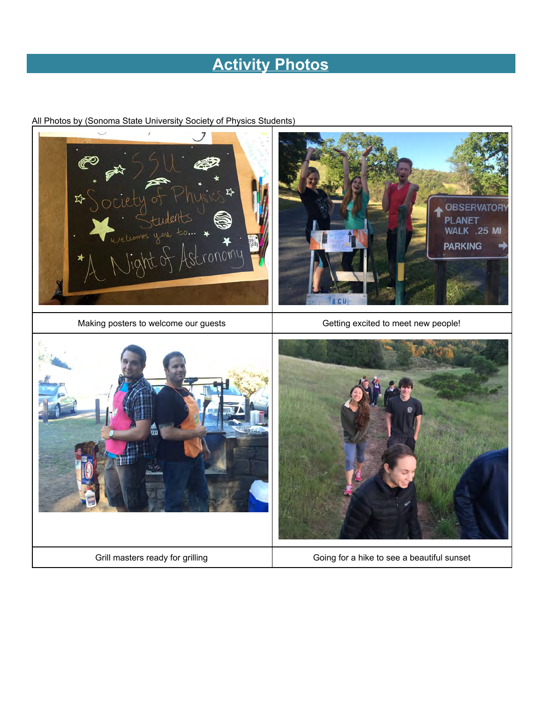## **Activity Photos**

All Photos by (Sonoma State University Society of Physics Students)